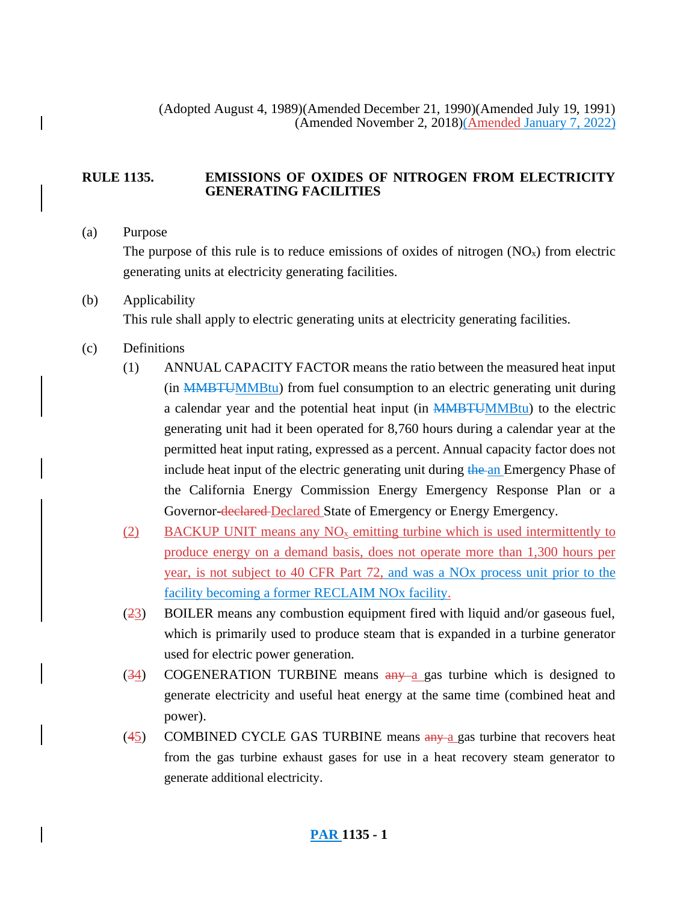### **RULE 1135. EMISSIONS OF OXIDES OF NITROGEN FROM ELECTRICITY GENERATING FACILITIES**

### (a) Purpose

The purpose of this rule is to reduce emissions of oxides of nitrogen  $(NO<sub>x</sub>)$  from electric generating units at electricity generating facilities.

# (b) Applicability This rule shall apply to electric generating units at electricity generating facilities.

## (c) Definitions

- (1) ANNUAL CAPACITY FACTOR means the ratio between the measured heat input (in MMBTUMMBtu) from fuel consumption to an electric generating unit during a calendar year and the potential heat input (in MMBTUMMBtu) to the electric generating unit had it been operated for 8,760 hours during a calendar year at the permitted heat input rating, expressed as a percent. Annual capacity factor does not include heat input of the electric generating unit during the an Emergency Phase of the California Energy Commission Energy Emergency Response Plan or a Governor-declared-Declared State of Emergency or Energy Emergency.
- (2) BACKUP UNIT means any  $NO<sub>x</sub>$  emitting turbine which is used intermittently to produce energy on a demand basis, does not operate more than 1,300 hours per year, is not subject to 40 CFR Part 72, and was a NOx process unit prior to the facility becoming a former RECLAIM NOx facility.
- (23) BOILER means any combustion equipment fired with liquid and/or gaseous fuel, which is primarily used to produce steam that is expanded in a turbine generator used for electric power generation.
- $(34)$  COGENERATION TURBINE means  $\frac{any}{ay}$  gas turbine which is designed to generate electricity and useful heat energy at the same time (combined heat and power).
- (45) COMBINED CYCLE GAS TURBINE means  $\frac{any}{n}$  a gas turbine that recovers heat from the gas turbine exhaust gases for use in a heat recovery steam generator to generate additional electricity.

# **PAR 1135 - 1**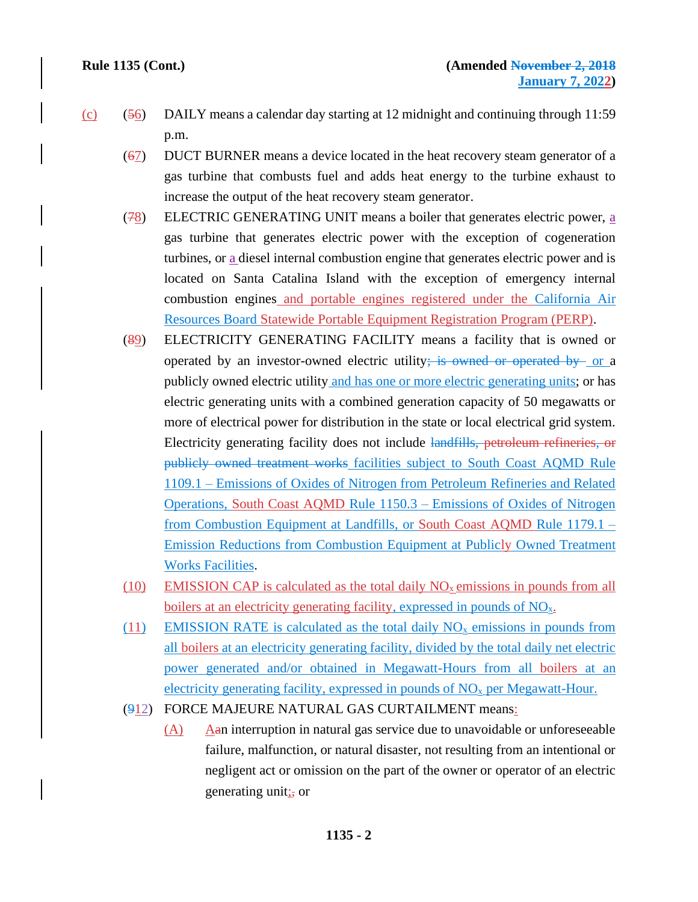- $(c)$  (56) DAILY means a calendar day starting at 12 midnight and continuing through 11:59 p.m.
	- (67) DUCT BURNER means a device located in the heat recovery steam generator of a gas turbine that combusts fuel and adds heat energy to the turbine exhaust to increase the output of the heat recovery steam generator.
	- $(78)$  ELECTRIC GENERATING UNIT means a boiler that generates electric power, a gas turbine that generates electric power with the exception of cogeneration turbines, or a diesel internal combustion engine that generates electric power and is located on Santa Catalina Island with the exception of emergency internal combustion engines and portable engines registered under the California Air Resources Board Statewide Portable Equipment Registration Program (PERP).
	- (89) ELECTRICITY GENERATING FACILITY means a facility that is owned or operated by an investor-owned electric utility; is owned or operated by or a publicly owned electric utility and has one or more electric generating units; or has electric generating units with a combined generation capacity of 50 megawatts or more of electrical power for distribution in the state or local electrical grid system. Electricity generating facility does not include landfills, petroleum refineries, or publicly owned treatment works facilities subject to South Coast AQMD Rule 1109.1 – Emissions of Oxides of Nitrogen from Petroleum Refineries and Related Operations, South Coast AQMD Rule 1150.3 – Emissions of Oxides of Nitrogen from Combustion Equipment at Landfills, or South Coast AQMD Rule 1179.1 – Emission Reductions from Combustion Equipment at Publicly Owned Treatment Works Facilities.
	- (10) EMISSION CAP is calculated as the total daily  $NO<sub>x</sub>$  emissions in pounds from all boilers at an electricity generating facility, expressed in pounds of  $NO<sub>x</sub>$ .
	- (11) EMISSION RATE is calculated as the total daily  $NO<sub>x</sub>$  emissions in pounds from all boilers at an electricity generating facility, divided by the total daily net electric power generated and/or obtained in Megawatt-Hours from all boilers at an electricity generating facility, expressed in pounds of  $NO<sub>x</sub>$  per Megawatt-Hour.
	- (912) FORCE MAJEURE NATURAL GAS CURTAILMENT means:
		- (A) Aan interruption in natural gas service due to unavoidable or unforeseeable failure, malfunction, or natural disaster, not resulting from an intentional or negligent act or omission on the part of the owner or operator of an electric generating unit $\frac{1}{2}$  or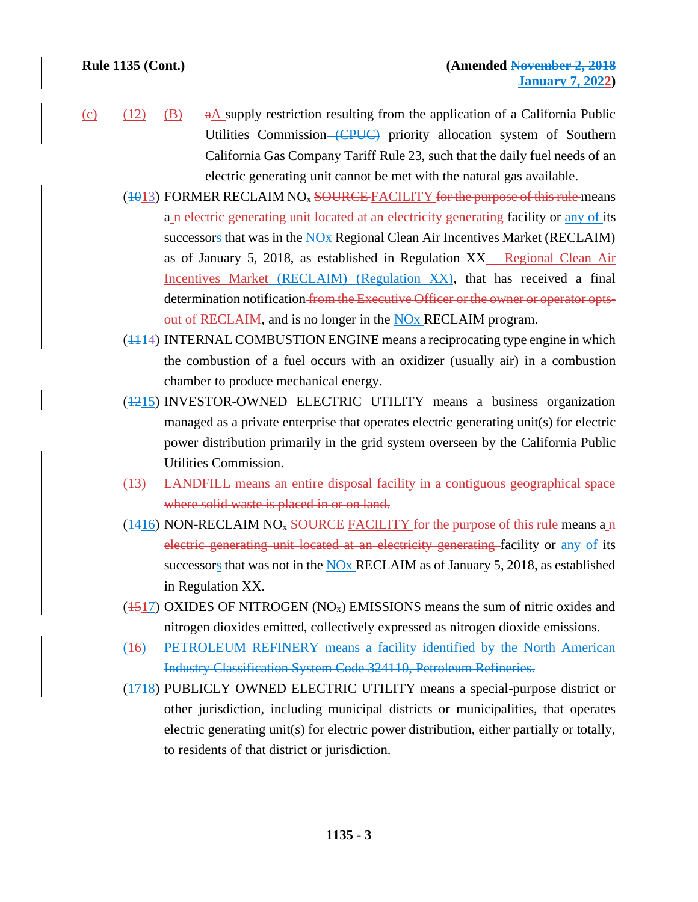- (c)  $(12)$   $(B)$  a A supply restriction resulting from the application of a California Public Utilities Commission–(CPUC) priority allocation system of Southern California Gas Company Tariff Rule 23, such that the daily fuel needs of an electric generating unit cannot be met with the natural gas available.
	- $(1013)$  FORMER RECLAIM NO<sub>x</sub> SOURCE FACILITY for the purpose of this rule means a n electric generating unit located at an electricity generating facility or any of its successors that was in the NO<sub>x</sub> Regional Clean Air Incentives Market (RECLAIM) as of January 5, 2018, as established in Regulation XX – Regional Clean Air Incentives Market (RECLAIM) (Regulation XX), that has received a final determination notification from the Executive Officer or the owner or operator optsout of RECLAIM, and is no longer in the NO<sub>x</sub> RECLAIM program.
	- $(1114)$  INTERNAL COMBUSTION ENGINE means a reciprocating type engine in which the combustion of a fuel occurs with an oxidizer (usually air) in a combustion chamber to produce mechanical energy.
	- (1215) INVESTOR-OWNED ELECTRIC UTILITY means a business organization managed as a private enterprise that operates electric generating unit(s) for electric power distribution primarily in the grid system overseen by the California Public Utilities Commission.
	- (13) LANDFILL means an entire disposal facility in a contiguous geographical space where solid waste is placed in or on land.
	- $(1416)$  NON-RECLAIM NO<sub>x</sub> SOURCE FACILITY for the purpose of this rule means a n electric generating unit located at an electricity generating facility or any of its successors that was not in the NOx RECLAIM as of January 5, 2018, as established in Regulation XX.
	- $(1517)$  OXIDES OF NITROGEN (NO<sub>x</sub>) EMISSIONS means the sum of nitric oxides and nitrogen dioxides emitted, collectively expressed as nitrogen dioxide emissions.
	- (16) PETROLEUM REFINERY means a facility identified by the North American Industry Classification System Code 324110, Petroleum Refineries.
	- (1718) PUBLICLY OWNED ELECTRIC UTILITY means a special-purpose district or other jurisdiction, including municipal districts or municipalities, that operates electric generating unit(s) for electric power distribution, either partially or totally, to residents of that district or jurisdiction.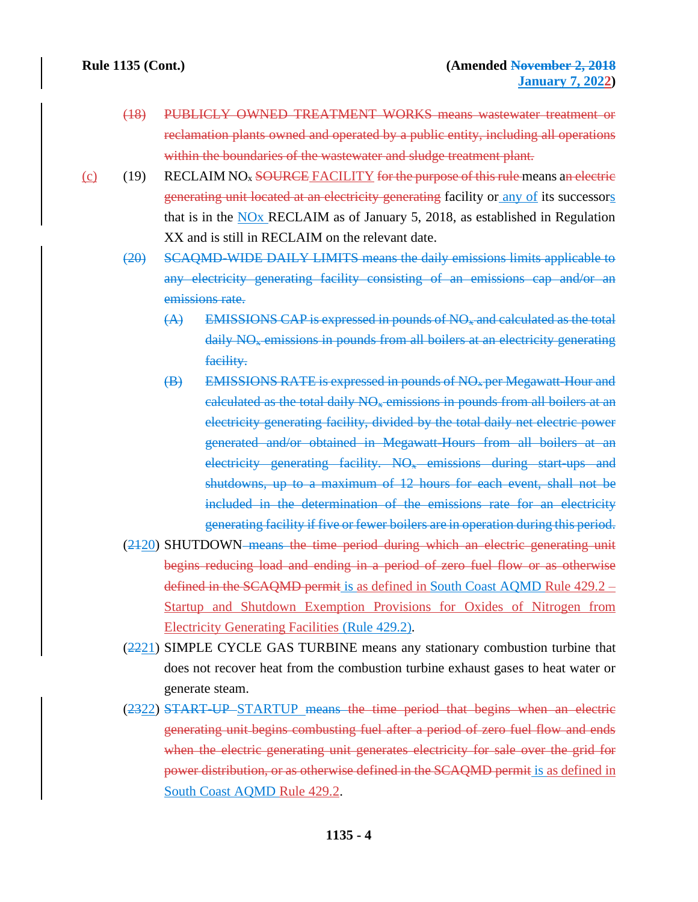- (18) PUBLICLY OWNED TREATMENT WORKS means wastewater treatment or reclamation plants owned and operated by a public entity, including all operations within the boundaries of the wastewater and sludge treatment plant.
- (c) (19) RECLAIM NO<sub>x</sub> SOURCE FACILITY for the purpose of this rule means an electric generating unit located at an electricity generating facility or any of its successors that is in the NOx RECLAIM as of January 5, 2018, as established in Regulation XX and is still in RECLAIM on the relevant date.
	- (20) SCAQMD-WIDE DAILY LIMITS means the daily emissions limits applicable to any electricity generating facility consisting of an emissions cap and/or an emissions rate.
		- $(A)$  EMISSIONS CAP is expressed in pounds of  $NO<sub>x</sub>$  and calculated as the total daily  $N\Theta_{\ast}$  emissions in pounds from all boilers at an electricity generating facility.
		- (B) EMISSIONS RATE is expressed in pounds of NO<sup>x</sup> per Megawatt-Hour and calculated as the total daily  $NQ<sub>*</sub>$  emissions in pounds from all boilers at an electricity generating facility, divided by the total daily net electric power generated and/or obtained in Megawatt-Hours from all boilers at an electricity generating facility. NO<sub>x</sub> emissions during start-ups and shutdowns, up to a maximum of 12 hours for each event, shall not be included in the determination of the emissions rate for an electricity generating facility if five or fewer boilers are in operation during this period.
	- (2120) SHUTDOWN means the time period during which an electric generating unit begins reducing load and ending in a period of zero fuel flow or as otherwise defined in the SCAQMD permit is as defined in South Coast AQMD Rule 429.2 – Startup and Shutdown Exemption Provisions for Oxides of Nitrogen from Electricity Generating Facilities (Rule 429.2).
	- (2221) SIMPLE CYCLE GAS TURBINE means any stationary combustion turbine that does not recover heat from the combustion turbine exhaust gases to heat water or generate steam.
	- (2322) START-UP STARTUP means the time period that begins when an electric generating unit begins combusting fuel after a period of zero fuel flow and ends when the electric generating unit generates electricity for sale over the grid for power distribution, or as otherwise defined in the SCAQMD permit is as defined in South Coast AQMD Rule 429.2.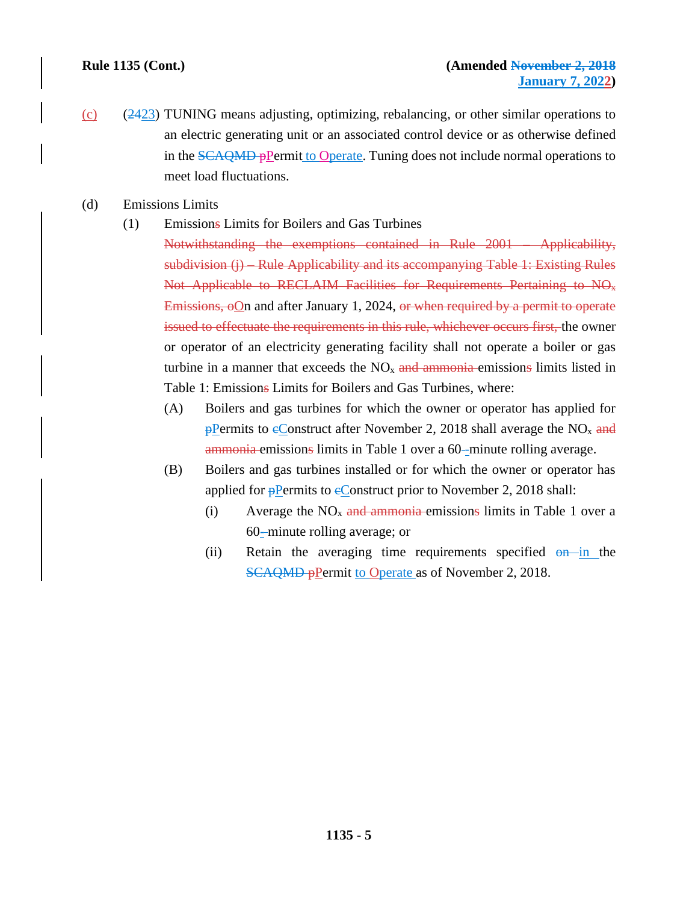- (c) (2423) TUNING means adjusting, optimizing, rebalancing, or other similar operations to an electric generating unit or an associated control device or as otherwise defined in the SCAQMD pPermit to Operate. Tuning does not include normal operations to meet load fluctuations.
- (d) Emissions Limits
	- (1) Emissions Limits for Boilers and Gas Turbines

Notwithstanding the exemptions contained in Rule 2001 – Applicability, subdivision (j) – Rule Applicability and its accompanying Table 1: Existing Rules Not Applicable to RECLAIM Facilities for Requirements Pertaining to NO<sup>x</sup> Emissions,  $\Theta$ On and after January 1, 2024, or when required by a permit to operate issued to effectuate the requirements in this rule, whichever occurs first, the owner or operator of an electricity generating facility shall not operate a boiler or gas turbine in a manner that exceeds the  $NO<sub>x</sub>$  and ammonia emissions limits listed in Table 1: Emissions Limits for Boilers and Gas Turbines, where:

- (A) Boilers and gas turbines for which the owner or operator has applied for  $p$ Permits to eConstruct after November 2, 2018 shall average the NO<sub>x</sub> and ammonia emissions limits in Table 1 over a 60-minute rolling average.
- (B) Boilers and gas turbines installed or for which the owner or operator has applied for  $\frac{1}{2}$ Permits to eConstruct prior to November 2, 2018 shall:
	- (i) Average the  $NO<sub>x</sub>$  and ammonia emissions limits in Table 1 over a 60- minute rolling average; or
	- (ii) Retain the averaging time requirements specified  $\Theta$  in the **SCAQMD** pPermit to Operate as of November 2, 2018.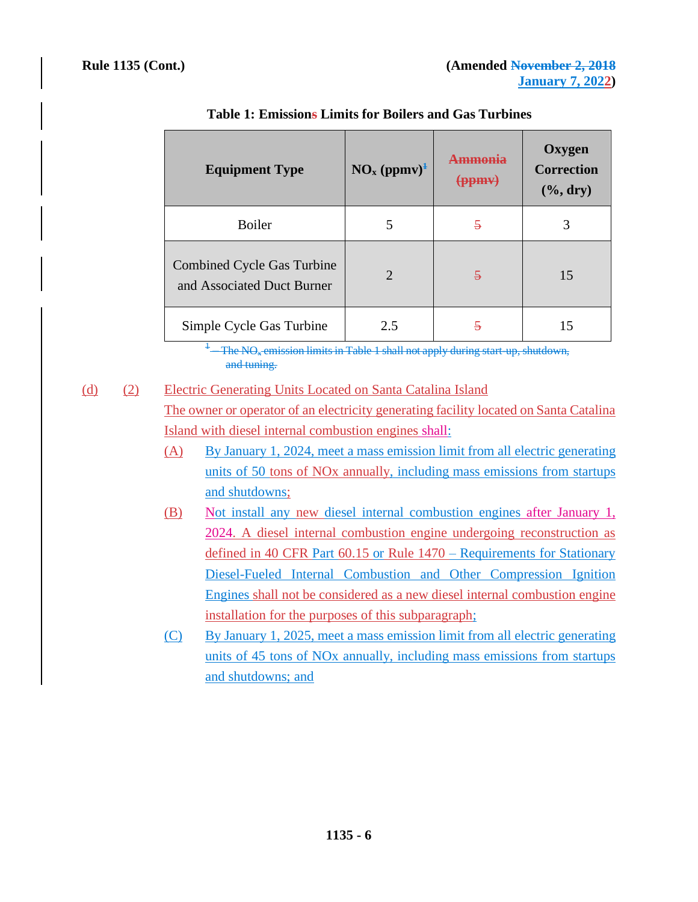| <b>Equipment Type</b>                                    | NO <sub>x</sub> (ppmv) <sup>1</sup> | mmania<br><del>(ppmy)</del> | <b>Oxygen</b><br><b>Correction</b><br>$(\%$ , dry) |
|----------------------------------------------------------|-------------------------------------|-----------------------------|----------------------------------------------------|
| Boiler                                                   | 5                                   | 5                           | 3                                                  |
| Combined Cycle Gas Turbine<br>and Associated Duct Burner | $\overline{2}$                      | $\overline{\mathbf{z}}$     | 15                                                 |
| Simple Cycle Gas Turbine                                 | 2.5                                 | ş                           | 15                                                 |

## **Table 1: Emissions Limits for Boilers and Gas Turbines**

1 The NO<sub>x</sub> emission limits in Table 1 shall not apply during start-up, shutdown, and tuning.

# (d) (2) Electric Generating Units Located on Santa Catalina Island

The owner or operator of an electricity generating facility located on Santa Catalina Island with diesel internal combustion engines shall:

- (A) By January 1, 2024, meet a mass emission limit from all electric generating units of 50 tons of NOx annually, including mass emissions from startups and shutdowns;
- (B) Not install any new diesel internal combustion engines after January 1, 2024. A diesel internal combustion engine undergoing reconstruction as defined in 40 CFR Part 60.15 or Rule 1470 – Requirements for Stationary Diesel-Fueled Internal Combustion and Other Compression Ignition Engines shall not be considered as a new diesel internal combustion engine installation for the purposes of this subparagraph;
- (C) By January 1, 2025, meet a mass emission limit from all electric generating units of 45 tons of NOx annually, including mass emissions from startups and shutdowns; and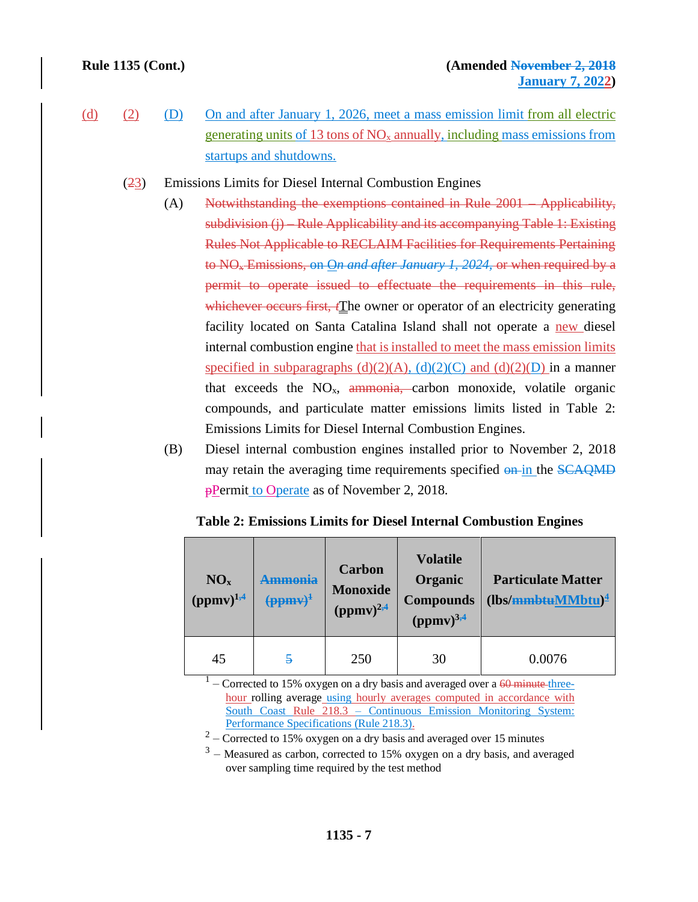- (d) (2) (D) On and after January 1, 2026, meet a mass emission limit from all electric generating units of 13 tons of  $NO<sub>x</sub>$  annually, including mass emissions from startups and shutdowns.
	- (23) Emissions Limits for Diesel Internal Combustion Engines
		- (A) Notwithstanding the exemptions contained in Rule 2001 Applicability, subdivision (j) – Rule Applicability and its accompanying Table 1: Existing Rules Not Applicable to RECLAIM Facilities for Requirements Pertaining to NO<sup>x</sup> Emissions, on O*n and after January 1, 2024,* or when required by a permit to operate issued to effectuate the requirements in this rule, whichever occurs first, *f*The owner or operator of an electricity generating facility located on Santa Catalina Island shall not operate a new diesel internal combustion engine that is installed to meet the mass emission limits specified in subparagraphs (d)(2)(A), (d)(2)(C) and (d)(2)(D) in a manner that exceeds the  $NO<sub>x</sub>$ , ammonia, carbon monoxide, volatile organic compounds, and particulate matter emissions limits listed in Table 2: Emissions Limits for Diesel Internal Combustion Engines.
		- (B) Diesel internal combustion engines installed prior to November 2, 2018 may retain the averaging time requirements specified on in the SCAQMD **pPermit to Operate as of November 2, 2018.**

| NO <sub>x</sub><br>$(ppmv)^{1,4}$ | $\left(\frac{1}{2}$ | <b>Carbon</b><br><b>Monoxide</b><br>$(ppmv)^{2,4}$ | <b>Volatile</b><br>Organic<br><b>Compounds</b><br>$(ppmv)^{3,4}$ | <b>Particulate Matter</b><br>$(lbs/mmbtuMM)$ <sup>4</sup> |
|-----------------------------------|---------------------|----------------------------------------------------|------------------------------------------------------------------|-----------------------------------------------------------|
| 45                                | $\overline{5}$      | 250                                                | 30                                                               | 0.0076                                                    |

**Table 2: Emissions Limits for Diesel Internal Combustion Engines**

 $1 -$ Corrected to 15% oxygen on a dry basis and averaged over a <del>60 minute three</del>hour rolling average using hourly averages computed in accordance with South Coast Rule 218.3 – Continuous Emission Monitoring System: Performance Specifications (Rule 218.3).

 $2 -$  Corrected to 15% oxygen on a dry basis and averaged over 15 minutes

 $3$  – Measured as carbon, corrected to 15% oxygen on a dry basis, and averaged over sampling time required by the test method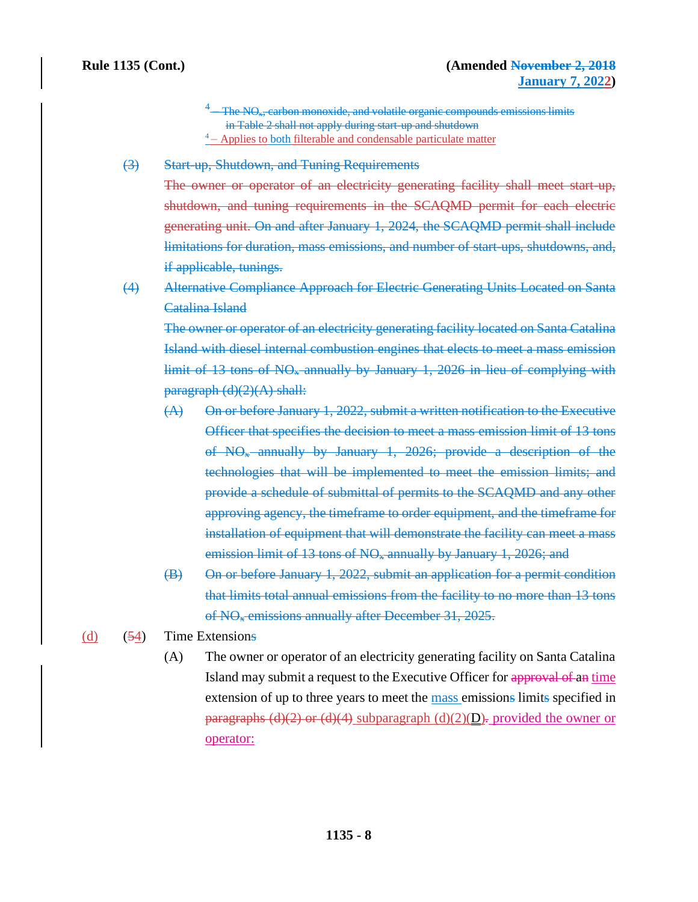- 4 The NO<sub>x</sub>, carbon monoxide, and volatile organic compounds emissions limits in Table 2 shall not apply during start-up and shutdown  $4 -$  Applies to both filterable and condensable particulate matter
- (3) Start-up, Shutdown, and Tuning Requirements

The owner or operator of an electricity generating facility shall meet start-up, shutdown, and tuning requirements in the SCAQMD permit for each electric generating unit. On and after January 1, 2024, the SCAQMD permit shall include limitations for duration, mass emissions, and number of start-ups, shutdowns, and, if applicable, tunings.

(4) Alternative Compliance Approach for Electric Generating Units Located on Santa Catalina Island

The owner or operator of an electricity generating facility located on Santa Catalina Island with diesel internal combustion engines that elects to meet a mass emission limit of  $13$  tons of  $NO<sub>x</sub>$  annually by January 1, 2026 in lieu of complying with  $\text{pargraph (d)(2)(A) shall:}$ 

- (A) On or before January 1, 2022, submit a written notification to the Executive Officer that specifies the decision to meet a mass emission limit of 13 tons of NO<sup>x</sup> annually by January 1, 2026; provide a description of the technologies that will be implemented to meet the emission limits; and provide a schedule of submittal of permits to the SCAQMD and any other approving agency, the timeframe to order equipment, and the timeframe for installation of equipment that will demonstrate the facility can meet a mass emission limit of 13 tons of  $NO<sub>x</sub>$  annually by January 1, 2026; and
- (B) On or before January 1, 2022, submit an application for a permit condition that limits total annual emissions from the facility to no more than 13 tons of NO<sup>x</sup> emissions annually after December 31, 2025.
- (d)  $(54)$  Time Extensions
	- (A) The owner or operator of an electricity generating facility on Santa Catalina Island may submit a request to the Executive Officer for approval of an time extension of up to three years to meet the mass emissions limits specified in paragraphs (d)(2) or (d)(4) subparagraph (d)(2)( $D$ ). provided the owner or operator: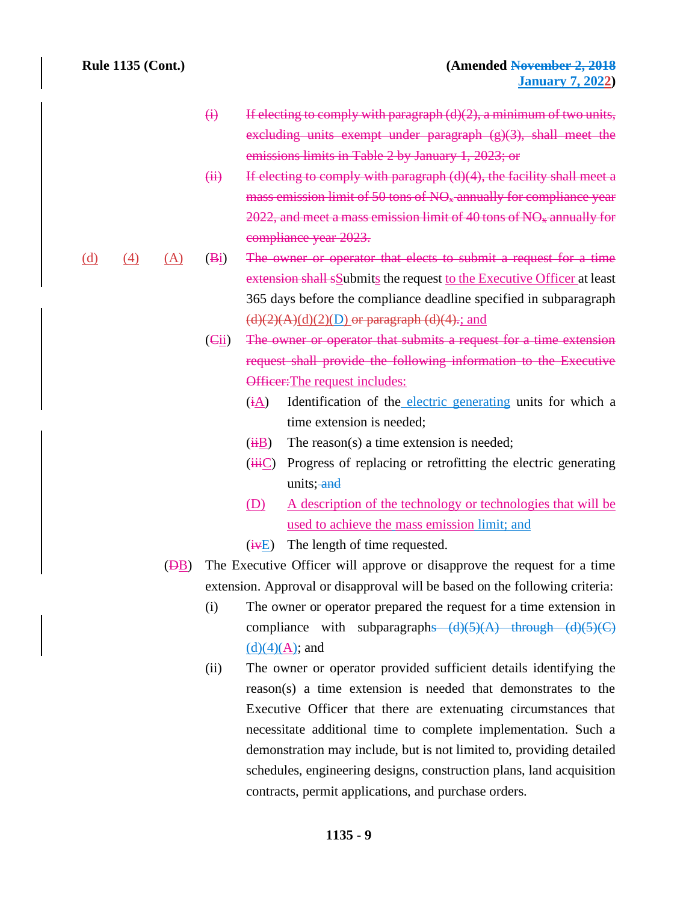- $(i)$  If electing to comply with paragraph  $(d)(2)$ , a minimum of two units, excluding units exempt under paragraph (g)(3), shall meet the emissions limits in Table 2 by January 1, 2023; or
- $(ii)$  If electing to comply with paragraph  $(d)(4)$ , the facility shall meet a mass emission limit of 50 tons of  $NO<sub>x</sub>$  annually for compliance year  $2022$ , and meet a mass emission limit of 40 tons of  $NO<sub>x</sub>$  annually for compliance year 2023.
- (d) (4) (A) (Bi) The owner or operator that elects to submit a request for a time extension shall sSubmits the request to the Executive Officer at least 365 days before the compliance deadline specified in subparagraph  $(d)(2)(A)(d)(2)(D)$  or paragraph  $(d)(4)$ ; and
	- (Cii) The owner or operator that submits a request for a time extension request shall provide the following information to the Executive Officer: The request includes:
		- (iA) Identification of the electric generating units for which a time extension is needed;
		- $(iH)$  The reason(s) a time extension is needed;
		- $(iii)$  Progress of replacing or retrofitting the electric generating units; and
		- (D) A description of the technology or technologies that will be used to achieve the mass emission limit; and
		- $(i \nabla E)$  The length of time requested.
	- (DB) The Executive Officer will approve or disapprove the request for a time extension. Approval or disapproval will be based on the following criteria:
		- (i) The owner or operator prepared the request for a time extension in compliance with subparagraphs  $(d)(5)(A)$  through  $(d)(5)(C)$  $(d)(4)(A)$ ; and
		- (ii) The owner or operator provided sufficient details identifying the reason(s) a time extension is needed that demonstrates to the Executive Officer that there are extenuating circumstances that necessitate additional time to complete implementation. Such a demonstration may include, but is not limited to, providing detailed schedules, engineering designs, construction plans, land acquisition contracts, permit applications, and purchase orders.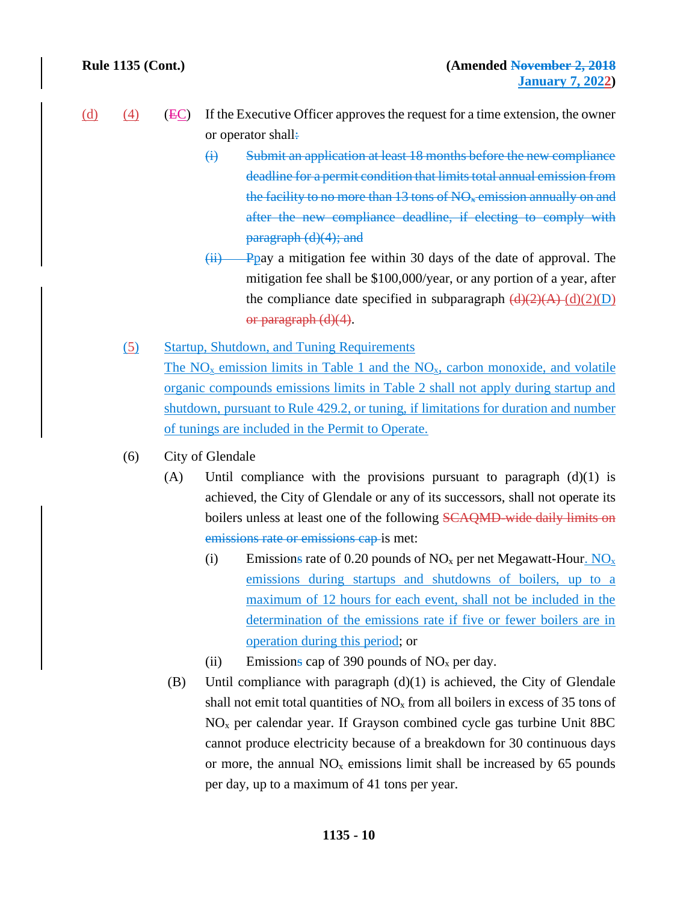- $\overline{(d)}$  (4) (EC) If the Executive Officer approves the request for a time extension, the owner or operator shall:
	- (i) Submit an application at least 18 months before the new compliance deadline for a permit condition that limits total annual emission from the facility to no more than  $13$  tons of NO<sub>x</sub> emission annually on and after the new compliance deadline, if electing to comply with paragraph (d)(4); and
	- $(iii)$  Ppay a mitigation fee within 30 days of the date of approval. The mitigation fee shall be \$100,000/year, or any portion of a year, after the compliance date specified in subparagraph  $\left(\frac{d}{2}(A)\right)\left(\frac{d}{2}(D)\right)$ or paragraph (d)(4).
	- (5) Startup, Shutdown, and Tuning Requirements The  $NO<sub>x</sub>$  emission limits in Table 1 and the  $NO<sub>x</sub>$ , carbon monoxide, and volatile organic compounds emissions limits in Table 2 shall not apply during startup and shutdown, pursuant to Rule 429.2, or tuning, if limitations for duration and number of tunings are included in the Permit to Operate.
	- (6) City of Glendale
		- (A) Until compliance with the provisions pursuant to paragraph  $(d)(1)$  is achieved, the City of Glendale or any of its successors, shall not operate its boilers unless at least one of the following SCAQMD-wide daily limits on emissions rate or emissions cap is met:
			- (i) Emissions rate of 0.20 pounds of  $NO<sub>x</sub>$  per net Megawatt-Hour.  $NO<sub>x</sub>$ emissions during startups and shutdowns of boilers, up to a maximum of 12 hours for each event, shall not be included in the determination of the emissions rate if five or fewer boilers are in operation during this period; or
			- (ii) Emissions cap of 390 pounds of  $NO<sub>x</sub>$  per day.
		- (B) Until compliance with paragraph  $(d)(1)$  is achieved, the City of Glendale shall not emit total quantities of  $NO<sub>x</sub>$  from all boilers in excess of 35 tons of  $NO<sub>x</sub>$  per calendar year. If Grayson combined cycle gas turbine Unit 8BC cannot produce electricity because of a breakdown for 30 continuous days or more, the annual  $NO<sub>x</sub>$  emissions limit shall be increased by 65 pounds per day, up to a maximum of 41 tons per year.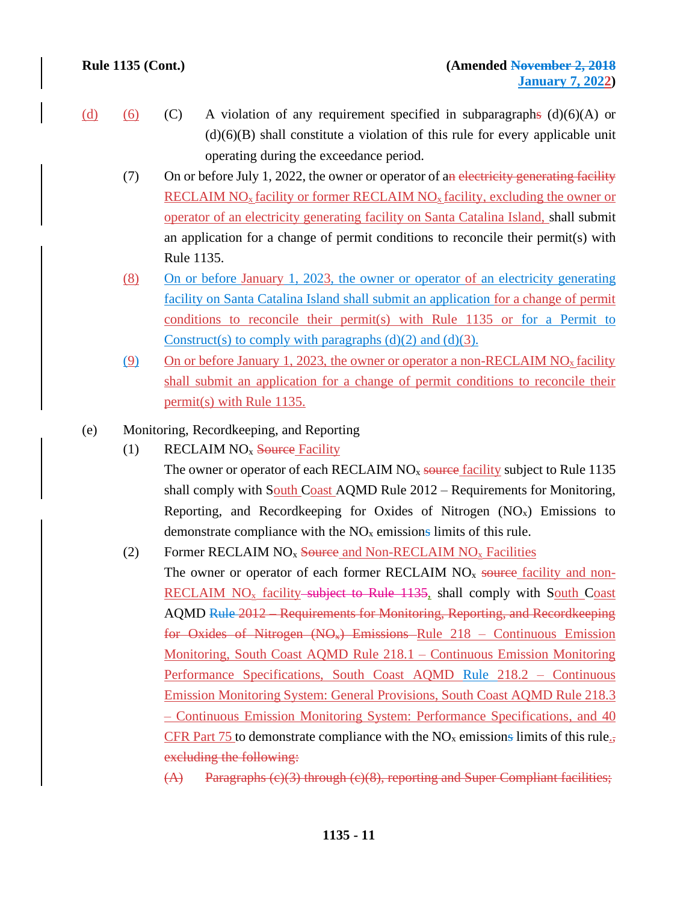- 
- (d) (6) (C) A violation of any requirement specified in subparagraphs (d)(6)(A) or  $(d)(6)(B)$  shall constitute a violation of this rule for every applicable unit operating during the exceedance period.
	- (7) On or before July 1, 2022, the owner or operator of an electricity generating facility RECLAIM  $NO<sub>x</sub>$  facility or former RECLAIM  $NO<sub>x</sub>$  facility, excluding the owner or operator of an electricity generating facility on Santa Catalina Island, shall submit an application for a change of permit conditions to reconcile their permit(s) with Rule 1135.
	- (8) On or before January 1, 2023, the owner or operator of an electricity generating facility on Santa Catalina Island shall submit an application for a change of permit conditions to reconcile their permit(s) with Rule 1135 or for a Permit to Construct(s) to comply with paragraphs  $(d)(2)$  and  $(d)(3)$ .
	- (9) On or before January 1, 2023, the owner or operator a non-RECLAIM NO<sub>x</sub> facility shall submit an application for a change of permit conditions to reconcile their permit(s) with Rule 1135.
- (e) Monitoring, Recordkeeping, and Reporting
	- (1) RECLAIM  $NO<sub>x</sub>$  Source Facility

The owner or operator of each RECLAIM  $NO<sub>x</sub>$  source facility subject to Rule 1135 shall comply with South Coast AQMD Rule 2012 – Requirements for Monitoring, Reporting, and Recordkeeping for Oxides of Nitrogen  $(NO<sub>x</sub>)$  Emissions to demonstrate compliance with the  $NO<sub>x</sub>$  emissions limits of this rule.

- (2) Former RECLAIM  $NO<sub>x</sub>$  Source and Non-RECLAIM  $NO<sub>x</sub>$  Facilities The owner or operator of each former RECLAIM  $NO<sub>x</sub>$  source facility and non-RECLAIM  $NO<sub>x</sub>$  facility-subject to Rule 1135, shall comply with South Coast AQMD Rule 2012 – Requirements for Monitoring, Reporting, and Recordkeeping for Oxides of Nitrogen  $(NO_*)$  Emissions Rule 218 – Continuous Emission Monitoring, South Coast AQMD Rule 218.1 – Continuous Emission Monitoring Performance Specifications, South Coast AQMD Rule 218.2 – Continuous Emission Monitoring System: General Provisions, South Coast AQMD Rule 218.3 – Continuous Emission Monitoring System: Performance Specifications, and 40 CFR Part 75 to demonstrate compliance with the  $NO<sub>x</sub>$  emissions limits of this rule. excluding the following:
	- (A) Paragraphs (c)(3) through (c)(8), reporting and Super Compliant facilities;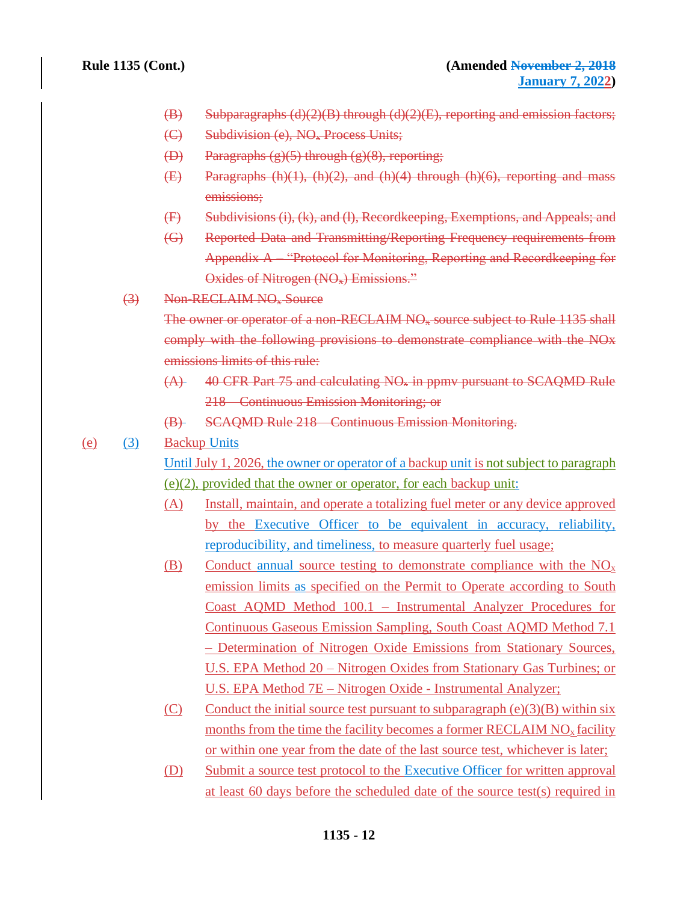- $(B)$  Subparagraphs (d)(2)(B) through (d)(2)(E), reporting and emission factors;
- (C) Subdivision (e), NO<sub>x</sub> Process Units;
- (D) Paragraphs  $(g)(5)$  through  $(g)(8)$ , reporting;
- $(E)$  Paragraphs (h)(1), (h)(2), and (h)(4) through (h)(6), reporting and mass emissions;
- (F) Subdivisions (i), (k), and (l), Recordkeeping, Exemptions, and Appeals; and
- (G) Reported Data and Transmitting/Reporting Frequency requirements from Appendix A – "Protocol for Monitoring, Reporting and Recordkeeping for Oxides of Nitrogen (NO<sub>x</sub>) Emissions."
- (3) Non-RECLAIM NO<sup>x</sup> Source

The owner or operator of a non-RECLAIM NO<sub>x</sub> source subject to Rule 1135 shall comply with the following provisions to demonstrate compliance with the NOx emissions limits of this rule:

- $(A)$  40 CFR Part 75 and calculating NO<sub>x</sub> in ppmy pursuant to SCAQMD Rule 218 – Continuous Emission Monitoring; or
- (B) SCAQMD Rule 218 Continuous Emission Monitoring.
- (e) (3) Backup Units

Until July 1, 2026, the owner or operator of a backup unit is not subject to paragraph (e)(2), provided that the owner or operator, for each backup unit:

- (A) Install, maintain, and operate a totalizing fuel meter or any device approved by the Executive Officer to be equivalent in accuracy, reliability, reproducibility, and timeliness, to measure quarterly fuel usage;
- (B) Conduct annual source testing to demonstrate compliance with the  $NO<sub>x</sub>$ emission limits as specified on the Permit to Operate according to South Coast AQMD Method 100.1 – Instrumental Analyzer Procedures for Continuous Gaseous Emission Sampling, South Coast AQMD Method 7.1 – Determination of Nitrogen Oxide Emissions from Stationary Sources, U.S. EPA Method 20 – Nitrogen Oxides from Stationary Gas Turbines; or U.S. EPA Method 7E – Nitrogen Oxide - Instrumental Analyzer;
- (C) Conduct the initial source test pursuant to subparagraph  $(e)(3)(B)$  within six months from the time the facility becomes a former RECLAIM  $NO<sub>x</sub>$  facility or within one year from the date of the last source test, whichever is later;
- (D) Submit a source test protocol to the Executive Officer for written approval at least 60 days before the scheduled date of the source test(s) required in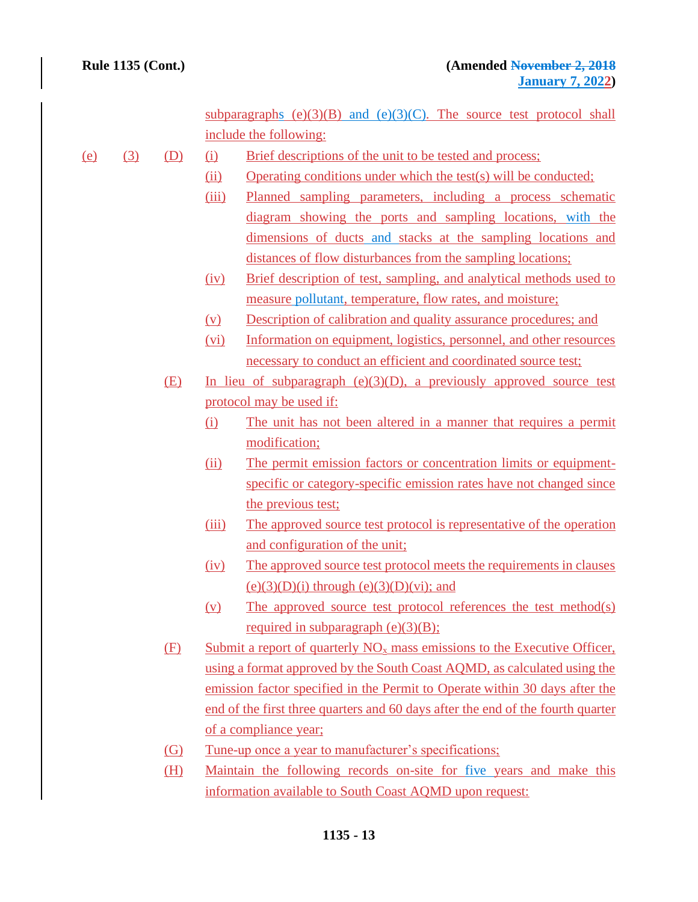subparagraphs  $(e)(3)(B)$  and  $(e)(3)(C)$ . The source test protocol shall include the following:

- (e) (3) (D) (i) Brief descriptions of the unit to be tested and process;
	- (ii) Operating conditions under which the test(s) will be conducted;
	- (iii) Planned sampling parameters, including a process schematic diagram showing the ports and sampling locations, with the dimensions of ducts and stacks at the sampling locations and distances of flow disturbances from the sampling locations;
	- (iv) Brief description of test, sampling, and analytical methods used to measure pollutant, temperature, flow rates, and moisture;
	- (v) Description of calibration and quality assurance procedures; and
	- (vi) Information on equipment, logistics, personnel, and other resources necessary to conduct an efficient and coordinated source test;
	- (E) In lieu of subparagraph (e)(3)(D), a previously approved source test protocol may be used if:
		- (i) The unit has not been altered in a manner that requires a permit modification;
		- (ii) The permit emission factors or concentration limits or equipmentspecific or category-specific emission rates have not changed since the previous test;
		- (iii) The approved source test protocol is representative of the operation and configuration of the unit;
		- (iv) The approved source test protocol meets the requirements in clauses  $(e)(3)(D)(i)$  through  $(e)(3)(D)(vi)$ ; and
		- (v) The approved source test protocol references the test method(s) required in subparagraph  $(e)(3)(B)$ ;
	- (F) Submit a report of quarterly  $NO<sub>x</sub>$  mass emissions to the Executive Officer, using a format approved by the South Coast AQMD, as calculated using the emission factor specified in the Permit to Operate within 30 days after the end of the first three quarters and 60 days after the end of the fourth quarter of a compliance year;
	- (G) Tune-up once a year to manufacturer's specifications;
	- (H) Maintain the following records on-site for five years and make this information available to South Coast AQMD upon request: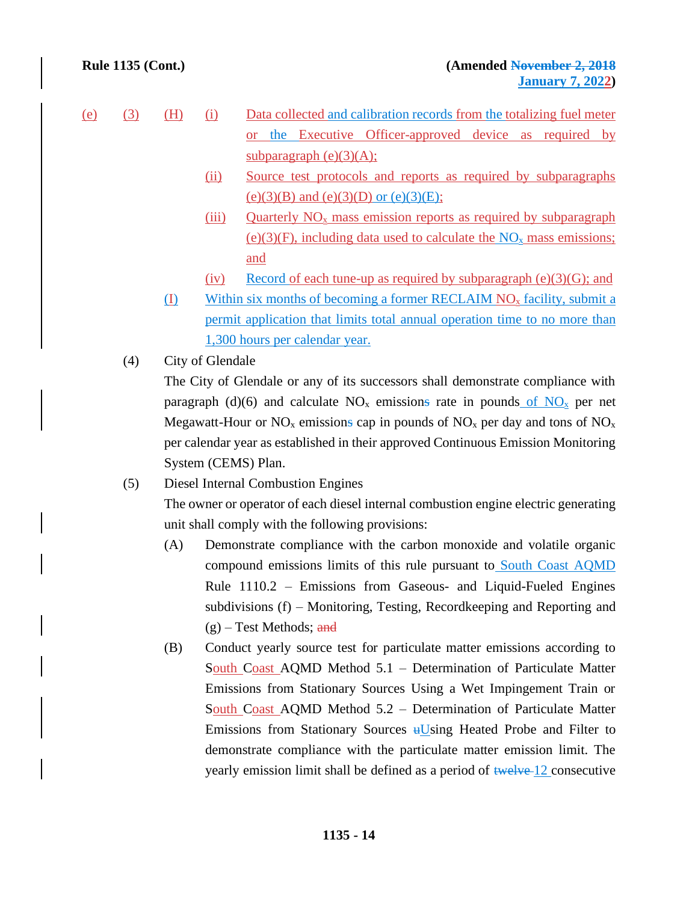- (e) (3) (H) (i) Data collected and calibration records from the totalizing fuel meter or the Executive Officer-approved device as required by subparagraph  $(e)(3)(A)$ ;
	- (ii) Source test protocols and reports as required by subparagraphs (e)(3)(B) and (e)(3)(D) or (e)(3)(E);
	- (iii) Quarterly  $NO<sub>x</sub>$  mass emission reports as required by subparagraph (e)(3)(F), including data used to calculate the  $NO<sub>x</sub>$  mass emissions; and
	- (iv) Record of each tune-up as required by subparagraph  $(e)(3)(G)$ ; and
	- $(I)$  Within six months of becoming a former RECLAIM NO<sub>x</sub> facility, submit a permit application that limits total annual operation time to no more than 1,300 hours per calendar year.
	- (4) City of Glendale

The City of Glendale or any of its successors shall demonstrate compliance with paragraph (d)(6) and calculate  $NO<sub>x</sub>$  emissions rate in pounds of  $NO<sub>x</sub>$  per net Megawatt-Hour or  $NO<sub>x</sub>$  emissions cap in pounds of  $NO<sub>x</sub>$  per day and tons of  $NO<sub>x</sub>$ per calendar year as established in their approved Continuous Emission Monitoring System (CEMS) Plan.

(5) Diesel Internal Combustion Engines

The owner or operator of each diesel internal combustion engine electric generating unit shall comply with the following provisions:

- (A) Demonstrate compliance with the carbon monoxide and volatile organic compound emissions limits of this rule pursuant to South Coast AQMD Rule 1110.2 – Emissions from Gaseous- and Liquid-Fueled Engines subdivisions (f) – Monitoring, Testing, Recordkeeping and Reporting and  $(g)$  – Test Methods; and
- (B) Conduct yearly source test for particulate matter emissions according to South Coast AQMD Method 5.1 – Determination of Particulate Matter Emissions from Stationary Sources Using a Wet Impingement Train or South Coast AQMD Method 5.2 – Determination of Particulate Matter Emissions from Stationary Sources  $\frac{H}{W}$  Heated Probe and Filter to demonstrate compliance with the particulate matter emission limit. The yearly emission limit shall be defined as a period of twelve 12 consecutive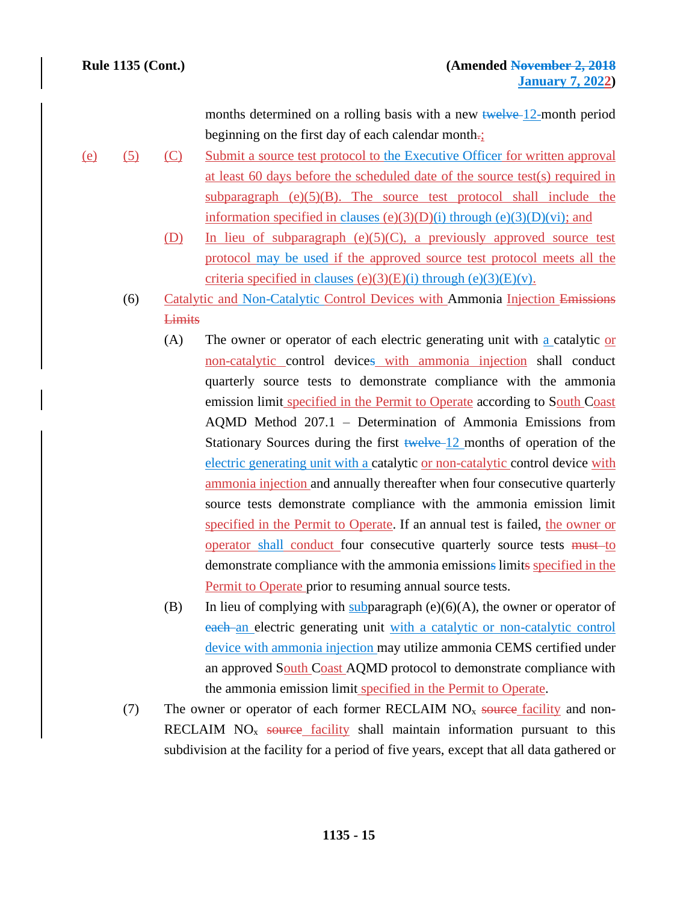months determined on a rolling basis with a new twelve 12-month period beginning on the first day of each calendar month.;

- (e) (5) (C) Submit a source test protocol to the Executive Officer for written approval at least 60 days before the scheduled date of the source test(s) required in subparagraph  $(e)(5)(B)$ . The source test protocol shall include the information specified in clauses (e)(3)(D)(i) through (e)(3)(D)(vi); and
	- (D) In lieu of subparagraph (e)(5)(C), a previously approved source test protocol may be used if the approved source test protocol meets all the criteria specified in clauses (e)(3)(E)(i) through (e)(3)(E)(v).
	- (6) Catalytic and Non-Catalytic Control Devices with Ammonia Injection Emissions **Limits** 
		- (A) The owner or operator of each electric generating unit with a catalytic or non-catalytic control devices with ammonia injection shall conduct quarterly source tests to demonstrate compliance with the ammonia emission limit specified in the Permit to Operate according to South Coast AQMD Method 207.1 – Determination of Ammonia Emissions from Stationary Sources during the first twelve 12 months of operation of the electric generating unit with a catalytic or non-catalytic control device with ammonia injection and annually thereafter when four consecutive quarterly source tests demonstrate compliance with the ammonia emission limit specified in the Permit to Operate. If an annual test is failed, the owner or operator shall conduct four consecutive quarterly source tests must to demonstrate compliance with the ammonia emissions limits specified in the Permit to Operate prior to resuming annual source tests.
		- (B) In lieu of complying with subparagraph  $(e)(6)(A)$ , the owner or operator of each an electric generating unit with a catalytic or non-catalytic control device with ammonia injection may utilize ammonia CEMS certified under an approved South Coast AQMD protocol to demonstrate compliance with the ammonia emission limit specified in the Permit to Operate.
	- (7) The owner or operator of each former RECLAIM  $NO<sub>x</sub>$  source facility and non-RECLAIM  $NO<sub>x</sub>$  source facility shall maintain information pursuant to this subdivision at the facility for a period of five years, except that all data gathered or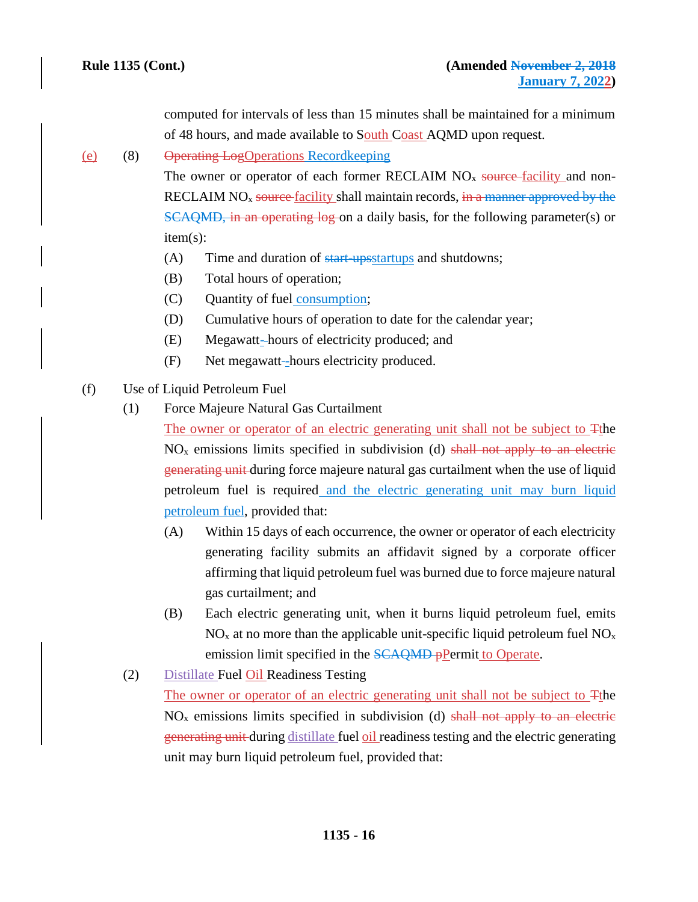computed for intervals of less than 15 minutes shall be maintained for a minimum of 48 hours, and made available to South Coast AQMD upon request.

# (e) (8) Operating LogOperations Recordkeeping

The owner or operator of each former RECLAIM  $NO<sub>x</sub>$  source-facility and non-RECLAIM  $NO<sub>x</sub>$  source facility shall maintain records, in a manner approved by the SCAQMD, in an operating log on a daily basis, for the following parameter(s) or item(s):

- (A) Time and duration of start-upsstartups and shutdowns;
- (B) Total hours of operation;
- (C) Quantity of fuel consumption;
- (D) Cumulative hours of operation to date for the calendar year;
- (E) Megawatt- hours of electricity produced; and
- (F) Net megawatt-hours electricity produced.
- (f) Use of Liquid Petroleum Fuel
	- (1) Force Majeure Natural Gas Curtailment

The owner or operator of an electric generating unit shall not be subject to Tthe  $NO<sub>x</sub>$  emissions limits specified in subdivision (d) shall not apply to an electric generating unit during force majeure natural gas curtailment when the use of liquid petroleum fuel is required and the electric generating unit may burn liquid petroleum fuel, provided that:

- (A) Within 15 days of each occurrence, the owner or operator of each electricity generating facility submits an affidavit signed by a corporate officer affirming that liquid petroleum fuel was burned due to force majeure natural gas curtailment; and
- (B) Each electric generating unit, when it burns liquid petroleum fuel, emits  $NO<sub>x</sub>$  at no more than the applicable unit-specific liquid petroleum fuel  $NO<sub>x</sub>$ emission limit specified in the **SCAQMD** pPermit to Operate.
- (2) Distillate Fuel Oil Readiness Testing

The owner or operator of an electric generating unit shall not be subject to Tthe  $NO<sub>x</sub>$  emissions limits specified in subdivision (d) shall not apply to an electric generating unit during distillate fuel oil readiness testing and the electric generating unit may burn liquid petroleum fuel, provided that: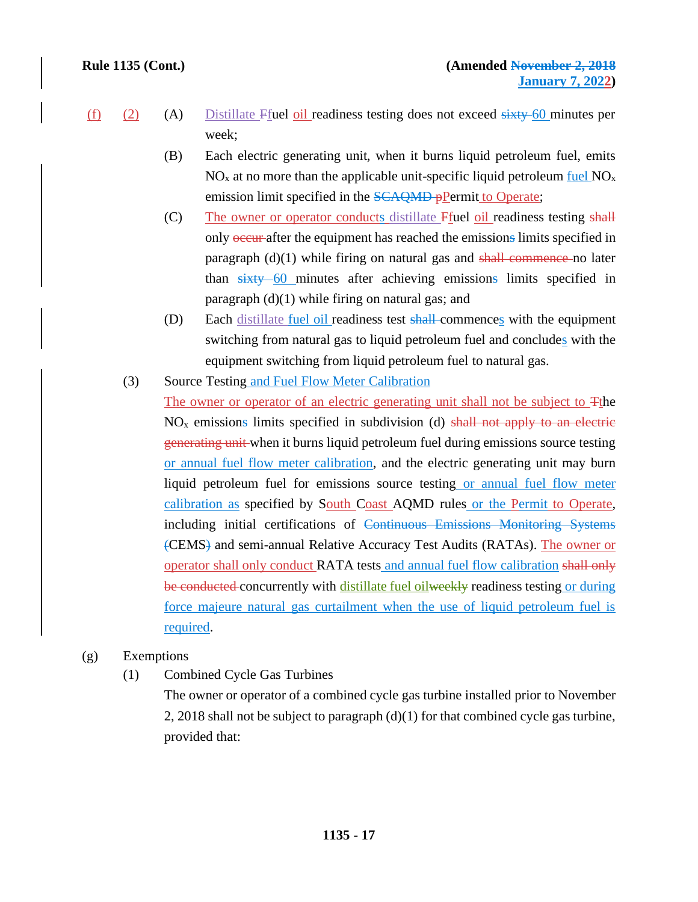- $(f)$  (2) (A) Distillate Ffuel oil readiness testing does not exceed sixty 60 minutes per week;
	- (B) Each electric generating unit, when it burns liquid petroleum fuel, emits  $NO<sub>x</sub>$  at no more than the applicable unit-specific liquid petroleum fuel  $NO<sub>x</sub>$ emission limit specified in the **SCAQMD** pPermit to Operate;
	- (C) The owner or operator conducts distillate Ffuel oil readiness testing shall only occur after the equipment has reached the emissions limits specified in paragraph  $(d)(1)$  while firing on natural gas and shall commence no later than sixty 60 minutes after achieving emissions limits specified in paragraph (d)(1) while firing on natural gas; and
	- (D) Each distillate fuel oil readiness test shall-commences with the equipment switching from natural gas to liquid petroleum fuel and concludes with the equipment switching from liquid petroleum fuel to natural gas.
	- (3) Source Testing and Fuel Flow Meter Calibration The owner or operator of an electric generating unit shall not be subject to Tthe  $NO<sub>x</sub>$  emissions limits specified in subdivision (d) shall not apply to an electric generating unit when it burns liquid petroleum fuel during emissions source testing or annual fuel flow meter calibration, and the electric generating unit may burn liquid petroleum fuel for emissions source testing or annual fuel flow meter calibration as specified by South Coast AQMD rules or the Permit to Operate, including initial certifications of Continuous Emissions Monitoring Systems (CEMS) and semi-annual Relative Accuracy Test Audits (RATAs). The owner or operator shall only conduct RATA tests and annual fuel flow calibration shall only be conducted concurrently with distillate fuel oilweekly readiness testing or during force majeure natural gas curtailment when the use of liquid petroleum fuel is required.

### (g) Exemptions

(1) Combined Cycle Gas Turbines

The owner or operator of a combined cycle gas turbine installed prior to November 2, 2018 shall not be subject to paragraph  $(d)(1)$  for that combined cycle gas turbine, provided that: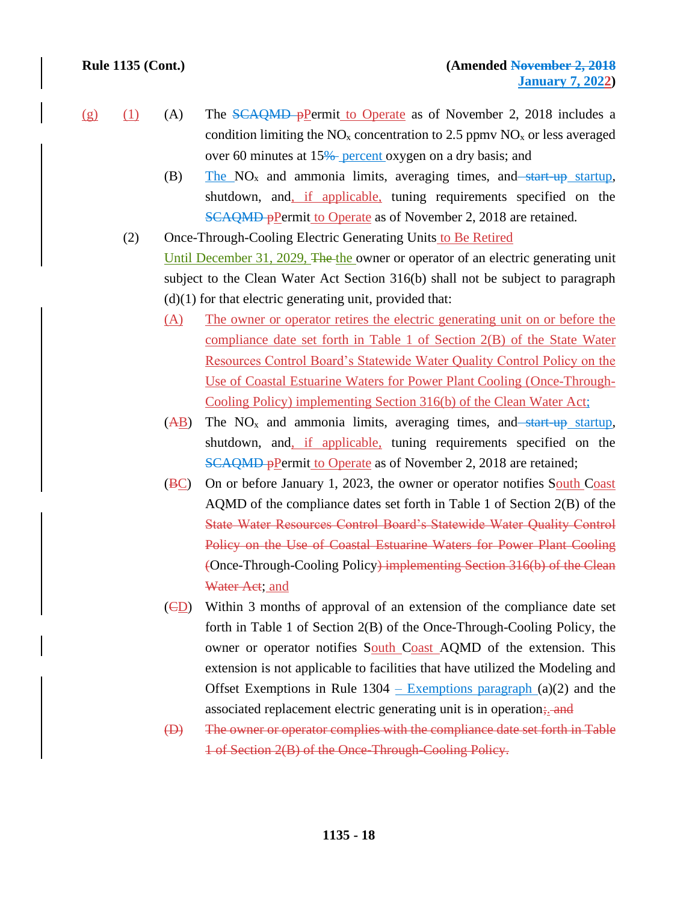- 
- (g) (1) (A) The SCAQMD pPermit to Operate as of November 2, 2018 includes a condition limiting the  $NO<sub>x</sub>$  concentration to 2.5 ppmv  $NO<sub>x</sub>$  or less averaged over 60 minutes at 15<sup>%</sup> percent oxygen on a dry basis; and
	- (B) The  $NO<sub>x</sub>$  and ammonia limits, averaging times, and start-up startup, shutdown, and, if applicable, tuning requirements specified on the SCAQMD pPermit to Operate as of November 2, 2018 are retained.
	- (2) Once-Through-Cooling Electric Generating Units to Be Retired Until December 31, 2029, The the owner or operator of an electric generating unit subject to the Clean Water Act Section 316(b) shall not be subject to paragraph  $(d)(1)$  for that electric generating unit, provided that:
		- (A) The owner or operator retires the electric generating unit on or before the compliance date set forth in Table 1 of Section 2(B) of the State Water Resources Control Board's Statewide Water Quality Control Policy on the Use of Coastal Estuarine Waters for Power Plant Cooling (Once-Through-Cooling Policy) implementing Section 316(b) of the Clean Water Act;
		- $(AB)$  The NO<sub>x</sub> and ammonia limits, averaging times, and start-up startup, shutdown, and, if applicable, tuning requirements specified on the SCAQMD pPermit to Operate as of November 2, 2018 are retained;
		- (BC) On or before January 1, 2023, the owner or operator notifies South Coast AQMD of the compliance dates set forth in Table 1 of Section 2(B) of the State Water Resources Control Board's Statewide Water Quality Control Policy on the Use of Coastal Estuarine Waters for Power Plant Cooling (Once-Through-Cooling Policy) implementing Section 316(b) of the Clean Water Act; and
		- (CD) Within 3 months of approval of an extension of the compliance date set forth in Table 1 of Section 2(B) of the Once-Through-Cooling Policy, the owner or operator notifies South Coast AQMD of the extension. This extension is not applicable to facilities that have utilized the Modeling and Offset Exemptions in Rule  $1304$  – Exemptions paragraph (a)(2) and the associated replacement electric generating unit is in operation; and
		- (D) The owner or operator complies with the compliance date set forth in Table 1 of Section 2(B) of the Once-Through-Cooling Policy.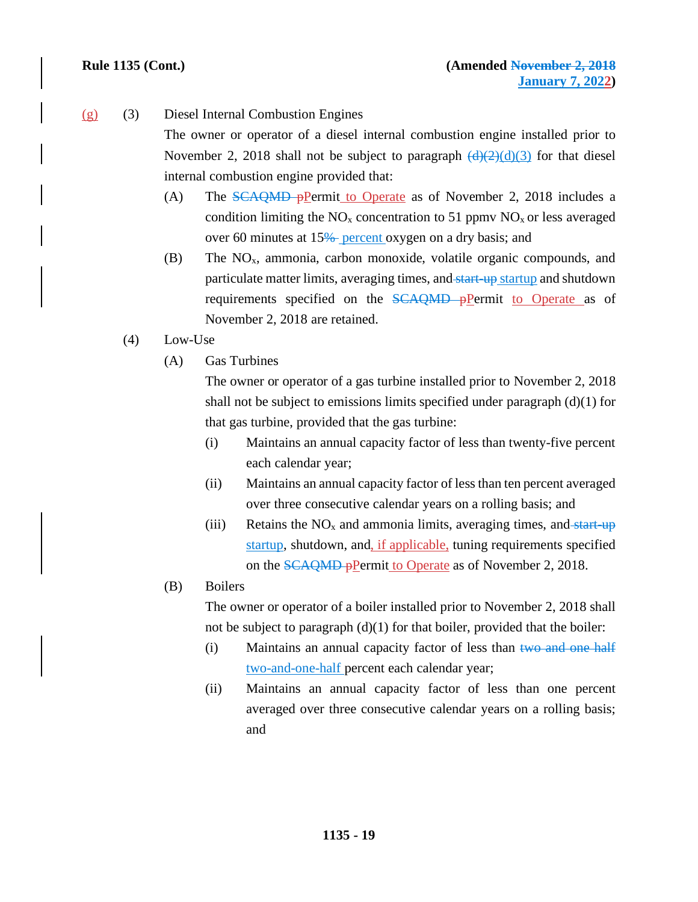### (g) (3) Diesel Internal Combustion Engines

The owner or operator of a diesel internal combustion engine installed prior to November 2, 2018 shall not be subject to paragraph  $\left(\frac{d}{2}(d)(3)\right)$  for that diesel internal combustion engine provided that:

- (A) The SCAQMD pPermit to Operate as of November 2, 2018 includes a condition limiting the  $NO<sub>x</sub>$  concentration to 51 ppmv  $NO<sub>x</sub>$  or less averaged over 60 minutes at 15% percent oxygen on a dry basis; and
- $(B)$  The NO<sub>x</sub>, ammonia, carbon monoxide, volatile organic compounds, and particulate matter limits, averaging times, and start-up startup and shutdown requirements specified on the SCAQMD pPermit to Operate as of November 2, 2018 are retained.
- (4) Low-Use
	- (A) Gas Turbines

The owner or operator of a gas turbine installed prior to November 2, 2018 shall not be subject to emissions limits specified under paragraph  $(d)(1)$  for that gas turbine, provided that the gas turbine:

- (i) Maintains an annual capacity factor of less than twenty-five percent each calendar year;
- (ii) Maintains an annual capacity factor of less than ten percent averaged over three consecutive calendar years on a rolling basis; and
- (iii) Retains the  $NO<sub>x</sub>$  and ammonia limits, averaging times, and start-up startup, shutdown, and, if applicable, tuning requirements specified on the SCAQMD pPermit to Operate as of November 2, 2018.
- (B) Boilers

The owner or operator of a boiler installed prior to November 2, 2018 shall not be subject to paragraph  $(d)(1)$  for that boiler, provided that the boiler:

- (i) Maintains an annual capacity factor of less than  $t_{\text{WO and one half}}$ two-and-one-half percent each calendar year;
- (ii) Maintains an annual capacity factor of less than one percent averaged over three consecutive calendar years on a rolling basis; and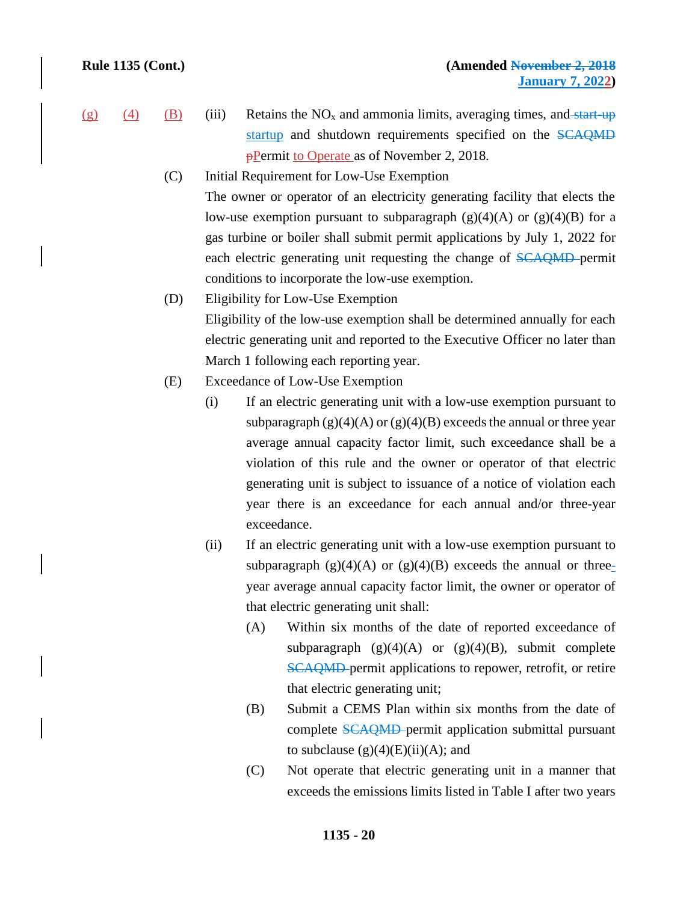- 
- (g) (4) (B) (iii) Retains the  $NO<sub>x</sub>$  and ammonia limits, averaging times, and start-up startup and shutdown requirements specified on the SCAQMD **P**Permit to Operate as of November 2, 2018.
	- (C) Initial Requirement for Low-Use Exemption The owner or operator of an electricity generating facility that elects the low-use exemption pursuant to subparagraph  $(g)(4)(A)$  or  $(g)(4)(B)$  for a gas turbine or boiler shall submit permit applications by July 1, 2022 for each electric generating unit requesting the change of SCAQMD permit conditions to incorporate the low-use exemption.
	- (D) Eligibility for Low-Use Exemption Eligibility of the low-use exemption shall be determined annually for each electric generating unit and reported to the Executive Officer no later than March 1 following each reporting year.
	- (E) Exceedance of Low-Use Exemption
		- (i) If an electric generating unit with a low-use exemption pursuant to subparagraph  $(g)(4)(A)$  or  $(g)(4)(B)$  exceeds the annual or three year average annual capacity factor limit, such exceedance shall be a violation of this rule and the owner or operator of that electric generating unit is subject to issuance of a notice of violation each year there is an exceedance for each annual and/or three-year exceedance.
		- (ii) If an electric generating unit with a low-use exemption pursuant to subparagraph  $(g)(4)(A)$  or  $(g)(4)(B)$  exceeds the annual or threeyear average annual capacity factor limit, the owner or operator of that electric generating unit shall:
			- (A) Within six months of the date of reported exceedance of subparagraph  $(g)(4)(A)$  or  $(g)(4)(B)$ , submit complete SCAQMD permit applications to repower, retrofit, or retire that electric generating unit;
			- (B) Submit a CEMS Plan within six months from the date of complete SCAQMD permit application submittal pursuant to subclause  $(g)(4)(E)(ii)(A)$ ; and
			- (C) Not operate that electric generating unit in a manner that exceeds the emissions limits listed in Table I after two years